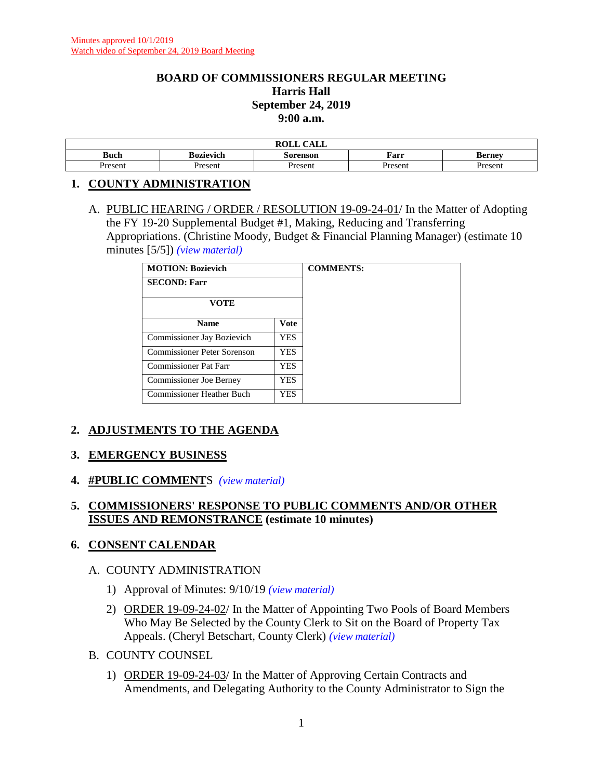#### **BOARD OF COMMISSIONERS REGULAR MEETING Harris Hall September 24, 2019 9:00 a.m.**

|             |           | $\sim$ $\sim$ $\sim$ $\sim$<br>ROLL<br>- CALL |         |               |
|-------------|-----------|-----------------------------------------------|---------|---------------|
| <b>Buch</b> | Bozievich | Sorenson                                      | Farr    | <b>Berney</b> |
| Present     | Present   | Present                                       | Present | Present       |

#### **1. COUNTY ADMINISTRATION**

A. PUBLIC HEARING / ORDER / RESOLUTION 19-09-24-01/ In the Matter of Adopting the FY 19-20 Supplemental Budget #1, Making, Reducing and Transferring Appropriations. (Christine Moody, Budget & Financial Planning Manager) (estimate 10 minutes [5/5]) *(view [material\)](http://www.lanecounty.org/UserFiles/Servers/Server_3585797/File/Government/BCC/2019/2019_AGENDAS/092419agenda/T.1.A.pdf)*

| <b>MOTION: Bozievich</b>         | <b>COMMENTS:</b> |  |
|----------------------------------|------------------|--|
| <b>SECOND: Farr</b>              |                  |  |
| <b>VOTE</b>                      |                  |  |
| <b>Name</b>                      | <b>Vote</b>      |  |
| Commissioner Jay Bozievich       | <b>YES</b>       |  |
| Commissioner Peter Sorenson      | <b>YES</b>       |  |
| <b>Commissioner Pat Farr</b>     | <b>YES</b>       |  |
| <b>Commissioner Joe Berney</b>   | <b>YES</b>       |  |
| <b>Commissioner Heather Buch</b> | <b>YES</b>       |  |

# **2. ADJUSTMENTS TO THE AGENDA**

## **3. EMERGENCY BUSINESS**

**4. #PUBLIC COMMENT**S *(view [material\)](http://www.lanecounty.org/UserFiles/Servers/Server_3585797/File/Government/BCC/2019/2019_AGENDAS/092419agenda/T.4.A.pdf)*

## **5. COMMISSIONERS' RESPONSE TO PUBLIC COMMENTS AND/OR OTHER ISSUES AND REMONSTRANCE (estimate 10 minutes)**

#### **6. CONSENT CALENDAR**

#### A. COUNTY ADMINISTRATION

- 1) Approval of Minutes: 9/10/19 *(view [material\)](http://www.lanecounty.org/UserFiles/Servers/Server_3585797/File/Government/BCC/2019/2019_AGENDAS/092419agenda/T.6.A.1.pdf)*
- 2) ORDER 19-09-24-02/ In the Matter of Appointing Two Pools of Board Members Who May Be Selected by the County Clerk to Sit on the Board of Property Tax Appeals. (Cheryl Betschart, County Clerk) *(view [material\)](http://www.lanecounty.org/UserFiles/Servers/Server_3585797/File/Government/BCC/2019/2019_AGENDAS/092419agenda/T.6.A.2.pdf)*
- B. COUNTY COUNSEL
	- 1) ORDER 19-09-24-03/ In the Matter of Approving Certain Contracts and Amendments, and Delegating Authority to the County Administrator to Sign the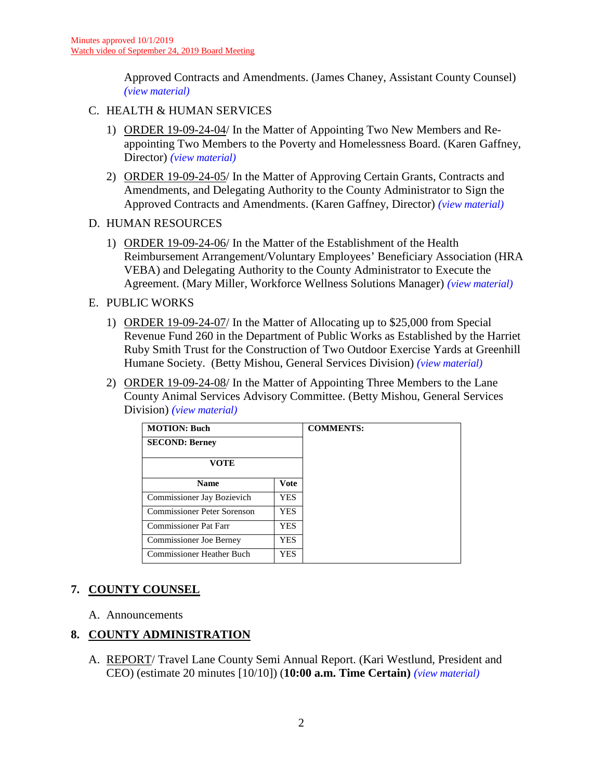Approved Contracts and Amendments. (James Chaney, Assistant County Counsel) *(view [material\)](http://www.lanecounty.org/UserFiles/Servers/Server_3585797/File/Government/BCC/2019/2019_AGENDAS/092419agenda/T.6.B.1.pdf)*

#### C. HEALTH & HUMAN SERVICES

- 1) ORDER 19-09-24-04/ In the Matter of Appointing Two New Members and Reappointing Two Members to the Poverty and Homelessness Board. (Karen Gaffney, Director) *(view [material\)](http://www.lanecounty.org/UserFiles/Servers/Server_3585797/File/Government/BCC/2019/2019_AGENDAS/092419agenda/T.6.C.1.pdf)*
- 2) ORDER 19-09-24-05/ In the Matter of Approving Certain Grants, Contracts and Amendments, and Delegating Authority to the County Administrator to Sign the Approved Contracts and Amendments. (Karen Gaffney, Director) *(view [material\)](http://www.lanecounty.org/UserFiles/Servers/Server_3585797/File/Government/BCC/2019/2019_AGENDAS/092419agenda/T.6.C.2.pdf)*

D. HUMAN RESOURCES

1) ORDER 19-09-24-06/ In the Matter of the Establishment of the Health Reimbursement Arrangement/Voluntary Employees' Beneficiary Association (HRA VEBA) and Delegating Authority to the County Administrator to Execute the Agreement. (Mary Miller, Workforce Wellness Solutions Manager) *(view [material\)](http://www.lanecounty.org/UserFiles/Servers/Server_3585797/File/Government/BCC/2019/2019_AGENDAS/092419agenda/T.6.D.1.pdf)*

#### E. PUBLIC WORKS

- 1) ORDER 19-09-24-07/ In the Matter of Allocating up to \$25,000 from Special Revenue Fund 260 in the Department of Public Works as Established by the Harriet Ruby Smith Trust for the Construction of Two Outdoor Exercise Yards at Greenhill Humane Society. (Betty Mishou, General Services Division) *(view [material\)](http://www.lanecounty.org/UserFiles/Servers/Server_3585797/File/Government/BCC/2019/2019_AGENDAS/092419agenda/T.6.E.1.pdf)*
- 2) ORDER 19-09-24-08/ In the Matter of Appointing Three Members to the Lane County Animal Services Advisory Committee. (Betty Mishou, General Services Division) *(view [material\)](http://www.lanecounty.org/UserFiles/Servers/Server_3585797/File/Government/BCC/2019/2019_AGENDAS/092419agenda/T.6.E.2.pdf)*

| <b>MOTION: Buch</b>          | <b>COMMENTS:</b> |  |
|------------------------------|------------------|--|
| <b>SECOND: Berney</b>        |                  |  |
| <b>VOTE</b>                  |                  |  |
| <b>Name</b>                  | Vote             |  |
| Commissioner Jay Bozievich   | <b>YES</b>       |  |
| Commissioner Peter Sorenson  | <b>YES</b>       |  |
| <b>Commissioner Pat Farr</b> | <b>YES</b>       |  |
| Commissioner Joe Berney      | <b>YES</b>       |  |
| Commissioner Heather Buch    | YES.             |  |

# **7. COUNTY COUNSEL**

A. Announcements

## **8. COUNTY ADMINISTRATION**

A. REPORT/ Travel Lane County Semi Annual Report. (Kari Westlund, President and CEO) (estimate 20 minutes [10/10]) (**10:00 a.m. Time Certain)** *(view [material\)](http://www.lanecounty.org/UserFiles/Servers/Server_3585797/File/Government/BCC/2019/2019_AGENDAS/092419agenda/T.8.A.pdf)*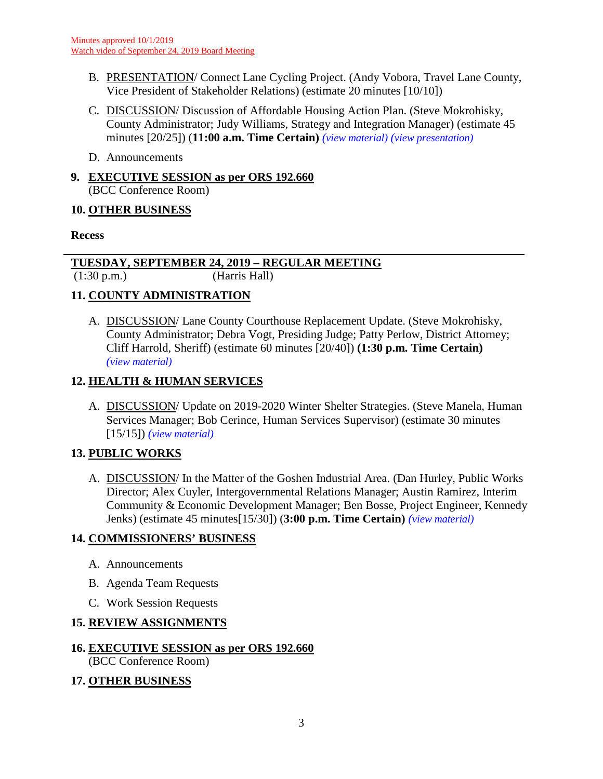- B. PRESENTATION/ Connect Lane Cycling Project. (Andy Vobora, Travel Lane County, Vice President of Stakeholder Relations) (estimate 20 minutes [10/10])
- C. DISCUSSION/ Discussion of Affordable Housing Action Plan. (Steve Mokrohisky, County Administrator; Judy Williams, Strategy and Integration Manager) (estimate 45 minutes [20/25]) (**11:00 a.m. Time Certain)** *(view [material\)](http://www.lanecounty.org/UserFiles/Servers/Server_3585797/File/Government/BCC/2019/2019_AGENDAS/092419agenda/T.8.C.pdf) (view [presentation\)](http://www.lanecounty.org/UserFiles/Servers/Server_3585797/File/Government/BCC/2019/2019_AGENDAS/092419agenda/T.8.CPres.pdf)*
- D. Announcements
- **9. EXECUTIVE SESSION as per ORS 192.660** (BCC Conference Room)

## **10. OTHER BUSINESS**

## **Recess**

# **TUESDAY, SEPTEMBER 24, 2019 – REGULAR MEETING**

(1:30 p.m.) (Harris Hall)

# **11. COUNTY ADMINISTRATION**

A. DISCUSSION/ Lane County Courthouse Replacement Update. (Steve Mokrohisky, County Administrator; Debra Vogt, Presiding Judge; Patty Perlow, District Attorney; Cliff Harrold, Sheriff) (estimate 60 minutes [20/40]) **(1:30 p.m. Time Certain)**  *(view [material\)](http://www.lanecounty.org/UserFiles/Servers/Server_3585797/File/Government/BCC/2019/2019_AGENDAS/092419agenda/T.11.A.pdf)*

# **12. HEALTH & HUMAN SERVICES**

A. DISCUSSION/ Update on 2019-2020 Winter Shelter Strategies. (Steve Manela, Human Services Manager; Bob Cerince, Human Services Supervisor) (estimate 30 minutes [15/15]) *(view [material\)](http://www.lanecounty.org/UserFiles/Servers/Server_3585797/File/Government/BCC/2019/2019_AGENDAS/092419agenda/T.12.A.pdf)*

# **13. PUBLIC WORKS**

A. DISCUSSION/ In the Matter of the Goshen Industrial Area. (Dan Hurley, Public Works Director; Alex Cuyler, Intergovernmental Relations Manager; Austin Ramirez, Interim Community & Economic Development Manager; Ben Bosse, Project Engineer, Kennedy Jenks) (estimate 45 minutes[15/30]) (**3:00 p.m. Time Certain)** *(view [material\)](http://www.lanecounty.org/UserFiles/Servers/Server_3585797/File/Government/BCC/2019/2019_AGENDAS/092419agenda/T.13.A.pdf)*

## **14. COMMISSIONERS' BUSINESS**

- A. Announcements
- B. Agenda Team Requests
- C. Work Session Requests

## **15. REVIEW ASSIGNMENTS**

#### **16. EXECUTIVE SESSION as per ORS 192.660** (BCC Conference Room)

## **17. OTHER BUSINESS**